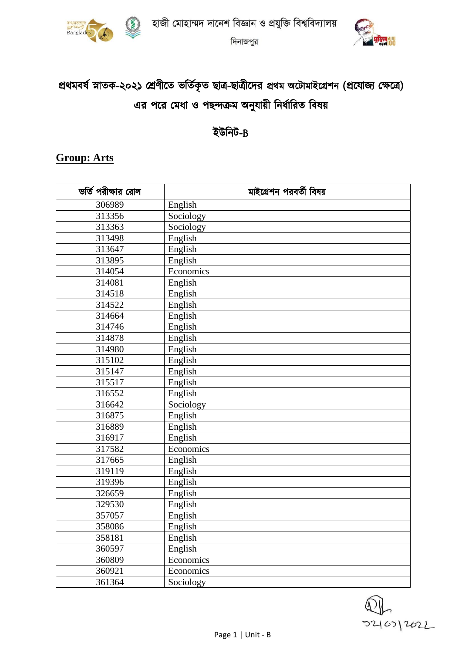



দিনাজপুর

# প্রথমবর্ষ স্নাতক-২০২১ শ্রেণীতে ভর্তিকৃত ছাত্র-ছাত্রীদের প্রথম অটোমাইগ্রেশন (প্রযোজ্য ক্ষেত্রে) এর পরে মেধা ও পছন্দক্রম অনুযায়ী নির্ধারিত বিষয়

## ইউনিট-B

### **Group: Arts**

| ভর্তি পরীক্ষার রোল | মাইগ্রেশন পরবর্তী বিষয় |  |  |  |  |  |
|--------------------|-------------------------|--|--|--|--|--|
| 306989             | English                 |  |  |  |  |  |
| 313356             | Sociology               |  |  |  |  |  |
| 313363             | Sociology               |  |  |  |  |  |
| 313498             | English                 |  |  |  |  |  |
| 313647             | English                 |  |  |  |  |  |
| 313895             | English                 |  |  |  |  |  |
| 314054             | Economics               |  |  |  |  |  |
| 314081             | English                 |  |  |  |  |  |
| 314518             | English                 |  |  |  |  |  |
| 314522             | English                 |  |  |  |  |  |
| 314664             | English                 |  |  |  |  |  |
| 314746             | English                 |  |  |  |  |  |
| 314878             | English                 |  |  |  |  |  |
| 314980             | English                 |  |  |  |  |  |
| 315102             | English                 |  |  |  |  |  |
| 315147             | English                 |  |  |  |  |  |
| 315517             | English                 |  |  |  |  |  |
| 316552             | English                 |  |  |  |  |  |
| 316642             | Sociology               |  |  |  |  |  |
| 316875             | English                 |  |  |  |  |  |
| 316889             | English                 |  |  |  |  |  |
| 316917             | English                 |  |  |  |  |  |
| 317582             | Economics               |  |  |  |  |  |
| 317665             | English                 |  |  |  |  |  |
| 319119             | English                 |  |  |  |  |  |
| 319396             | English                 |  |  |  |  |  |
| 326659             | English                 |  |  |  |  |  |
| 329530             | English                 |  |  |  |  |  |
| 357057             | English                 |  |  |  |  |  |
| 358086             | English                 |  |  |  |  |  |
| 358181             | English                 |  |  |  |  |  |
| 360597             | English                 |  |  |  |  |  |
| 360809             | Economics               |  |  |  |  |  |
| 360921             | Economics               |  |  |  |  |  |
| 361364             | Sociology               |  |  |  |  |  |

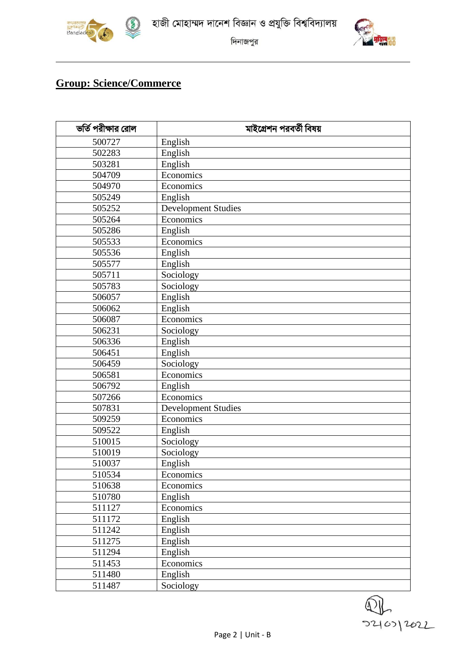



দিনাজপুর

## **Group: Science/Commerce**

| ভর্তি পরীক্ষার রোল | মাইগ্রেশন পরবর্তী বিষয়    |  |  |  |  |  |  |
|--------------------|----------------------------|--|--|--|--|--|--|
| 500727             | English                    |  |  |  |  |  |  |
| 502283             | English                    |  |  |  |  |  |  |
| 503281             | English                    |  |  |  |  |  |  |
| 504709             | Economics                  |  |  |  |  |  |  |
| 504970             | Economics                  |  |  |  |  |  |  |
| 505249             | English                    |  |  |  |  |  |  |
| 505252             | <b>Development Studies</b> |  |  |  |  |  |  |
| 505264             | Economics                  |  |  |  |  |  |  |
| 505286             | English                    |  |  |  |  |  |  |
| 505533             | Economics                  |  |  |  |  |  |  |
| 505536             | English                    |  |  |  |  |  |  |
| 505577             | English                    |  |  |  |  |  |  |
| 505711             | Sociology                  |  |  |  |  |  |  |
| 505783             | Sociology                  |  |  |  |  |  |  |
| 506057             | English                    |  |  |  |  |  |  |
| 506062             | English                    |  |  |  |  |  |  |
| 506087             | Economics                  |  |  |  |  |  |  |
| 506231             | Sociology                  |  |  |  |  |  |  |
| 506336             | English                    |  |  |  |  |  |  |
| 506451             | English                    |  |  |  |  |  |  |
| 506459             | Sociology                  |  |  |  |  |  |  |
| 506581             | Economics                  |  |  |  |  |  |  |
| 506792             | English                    |  |  |  |  |  |  |
| 507266             | Economics                  |  |  |  |  |  |  |
| 507831             | <b>Development Studies</b> |  |  |  |  |  |  |
| 509259             | Economics                  |  |  |  |  |  |  |
| 509522             | English                    |  |  |  |  |  |  |
| 510015             | Sociology                  |  |  |  |  |  |  |
| 510019             | Sociology                  |  |  |  |  |  |  |
| 510037             | English                    |  |  |  |  |  |  |
| 510534             | Economics                  |  |  |  |  |  |  |
| 510638             | Economics                  |  |  |  |  |  |  |
| 510780             | English                    |  |  |  |  |  |  |
| 511127             | Economics                  |  |  |  |  |  |  |
| 511172             | English                    |  |  |  |  |  |  |
| 511242             | English                    |  |  |  |  |  |  |
| 511275             | English                    |  |  |  |  |  |  |
| 511294             | English                    |  |  |  |  |  |  |
| 511453             | Economics                  |  |  |  |  |  |  |
| 511480             | English                    |  |  |  |  |  |  |
| 511487             | Sociology                  |  |  |  |  |  |  |

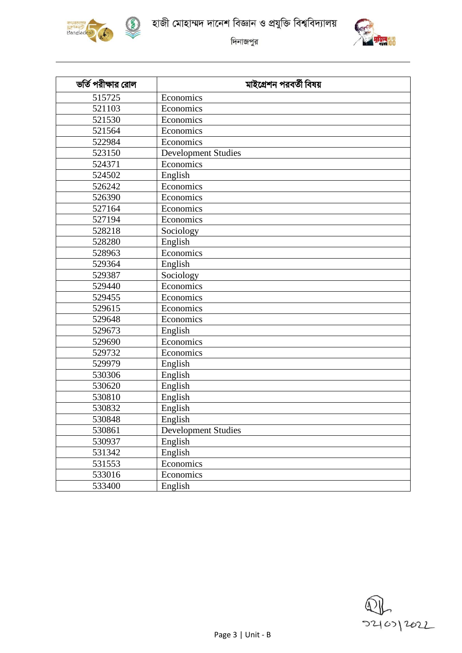



হাজী মোহাম্মদ দানেশ বিজ্ঞান ও প্রযুক্তি বিশ্ববিদ্যালয়



দিনাজপুর

| ভর্তি পরীক্ষার রোল | মাইগ্রেশন পরবর্তী বিষয়    |  |  |  |  |  |
|--------------------|----------------------------|--|--|--|--|--|
| 515725             | Economics                  |  |  |  |  |  |
| 521103             | Economics                  |  |  |  |  |  |
| 521530             | Economics                  |  |  |  |  |  |
| 521564             | Economics                  |  |  |  |  |  |
| 522984             | Economics                  |  |  |  |  |  |
| 523150             | <b>Development Studies</b> |  |  |  |  |  |
| 524371             | Economics                  |  |  |  |  |  |
| 524502             | English                    |  |  |  |  |  |
| 526242             | Economics                  |  |  |  |  |  |
| 526390             | Economics                  |  |  |  |  |  |
| 527164             | Economics                  |  |  |  |  |  |
| 527194             | Economics                  |  |  |  |  |  |
| 528218             | Sociology                  |  |  |  |  |  |
| 528280             | English                    |  |  |  |  |  |
| 528963             | Economics                  |  |  |  |  |  |
| 529364             | English                    |  |  |  |  |  |
| 529387             | Sociology                  |  |  |  |  |  |
| 529440             | Economics                  |  |  |  |  |  |
| 529455             | Economics                  |  |  |  |  |  |
| 529615             | Economics                  |  |  |  |  |  |
| 529648             | Economics                  |  |  |  |  |  |
| 529673             | English                    |  |  |  |  |  |
| 529690             | Economics                  |  |  |  |  |  |
| 529732             | Economics                  |  |  |  |  |  |
| 529979             | English                    |  |  |  |  |  |
| 530306             | English                    |  |  |  |  |  |
| 530620             | English                    |  |  |  |  |  |
| 530810             | English                    |  |  |  |  |  |
| 530832             | English                    |  |  |  |  |  |
| 530848             | English                    |  |  |  |  |  |
| 530861             | <b>Development Studies</b> |  |  |  |  |  |
| 530937             | English                    |  |  |  |  |  |
| 531342             | English                    |  |  |  |  |  |
| 531553             | Economics                  |  |  |  |  |  |
| 533016             | Economics                  |  |  |  |  |  |
| 533400             | English                    |  |  |  |  |  |